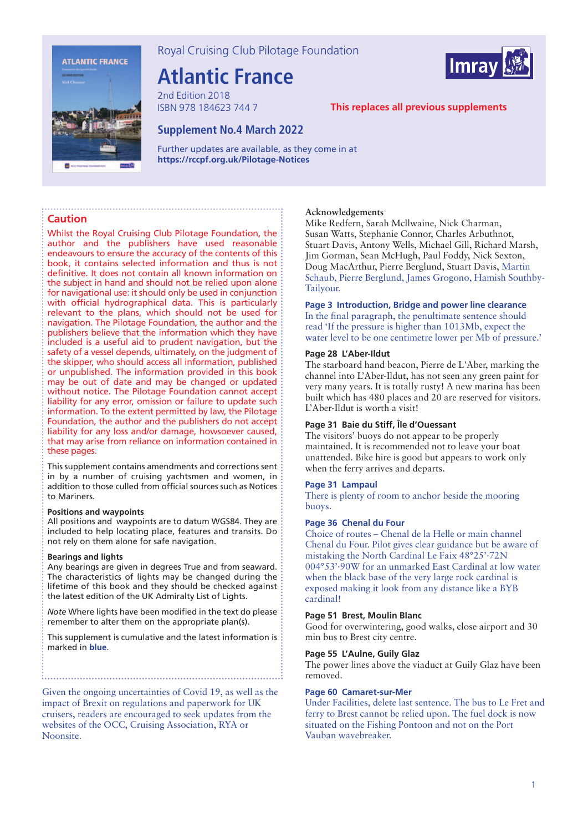

Royal Cruising Club Pilotage Foundation

# **Atlantic France**

2nd Edition 2018 ISBN 978 184623 744 7



# **This replaces all previous supplements**

# **Supplement No.4 March 2022**

Further updates are available, as they come in at **https://rccpf.org.uk/Pilotage-Notices** 

## **Caution**

Whilst the Royal Cruising Club Pilotage Foundation, the author and the publishers have used reasonable endeavours to ensure the accuracy of the contents of this book, it contains selected information and thus is not definitive. It does not contain all known information on the subject in hand and should not be relied upon alone for navigational use: it should only be used in conjunction with official hydrographical data. This is particularly relevant to the plans, which should not be used for navigation. The Pilotage Foundation, the author and the publishers believe that the information which they have included is a useful aid to prudent navigation, but the safety of a vessel depends, ultimately, on the judgment of the skipper, who should access all information, published or unpublished. The information provided in this book may be out of date and may be changed or updated without notice. The Pilotage Foundation cannot accept liability for any error, omission or failure to update such information. To the extent permitted by law, the Pilotage Foundation, the author and the publishers do not accept liability for any loss and/or damage, howsoever caused, that may arise from reliance on information contained in these pages.

This supplement contains amendments and corrections sent in by a number of cruising yachtsmen and women, in addition to those culled from official sources such as Notices to Mariners.

#### **Positions and waypoints**

All positions and waypoints are to datum WGS84. They are included to help locating place, features and transits. Do not rely on them alone for safe navigation.

#### **Bearings and lights**

Any bearings are given in degrees True and from seaward. The characteristics of lights may be changed during the lifetime of this book and they should be checked against the latest edition of the UK Admiralty List of Lights.

*Note* Where lights have been modified in the text do please remember to alter them on the appropriate plan(s).

This supplement is cumulative and the latest information is marked in **blue**.

Given the ongoing uncertainties of Covid 19, as well as the impact of Brexit on regulations and paperwork for UK cruisers, readers are encouraged to seek updates from the websites of the OCC, Cruising Association, RYA or Noonsite.

#### **Acknowledgements**

Mike Redfern, Sarah Mcllwaine, Nick Charman, Susan Watts, Stephanie Connor, Charles Arbuthnot, Stuart Davis, Antony Wells, Michael Gill, Richard Marsh, Jim Gorman, Sean McHugh, Paul Foddy, Nick Sexton, Doug MacArthur, Pierre Berglund, Stuart Davis, Martin Schaub, Pierre Berglund, James Grogono, Hamish Southby-Tailyour.

# **Page 3 Introduction, Bridge and power line clearance**

In the final paragraph, the penultimate sentence should read 'If the pressure is higher than 1013Mb, expect the water level to be one centimetre lower per Mb of pressure.'

#### **Page 28 L'Aber-Ildut**

The starboard hand beacon, Pierre de L'Aber, marking the channel into L'Aber-Ildut, has not seen any green paint for very many years. It is totally rusty! A new marina has been built which has 480 places and 20 are reserved for visitors. L'Aber-Ildut is worth a visit!

#### **Page 31 Baie du Stiff, Île d'Ouessant**

The visitors' buoys do not appear to be properly maintained. It is recommended not to leave your boat unattended. Bike hire is good but appears to work only when the ferry arrives and departs.

## **Page 31 Lampaul**

There is plenty of room to anchor beside the mooring buoys.

#### **Page 36 Chenal du Four**

Choice of routes – Chenal de la Helle or main channel Chenal du Four. Pilot gives clear guidance but be aware of mistaking the North Cardinal Le Faix 48°25'·72N 004°53'·90W for an unmarked East Cardinal at low water when the black base of the very large rock cardinal is exposed making it look from any distance like a BYB cardinal!

#### **Page 51 Brest, Moulin Blanc**

Good for overwintering, good walks, close airport and 30 min bus to Brest city centre.

#### **Page 55 L'Aulne, Guily Glaz**

The power lines above the viaduct at Guily Glaz have been removed.

#### **Page 60 Camaret-sur-Mer**

Under Facilities, delete last sentence. The bus to Le Fret and ferry to Brest cannot be relied upon. The fuel dock is now situated on the Fishing Pontoon and not on the Port Vauban wavebreaker.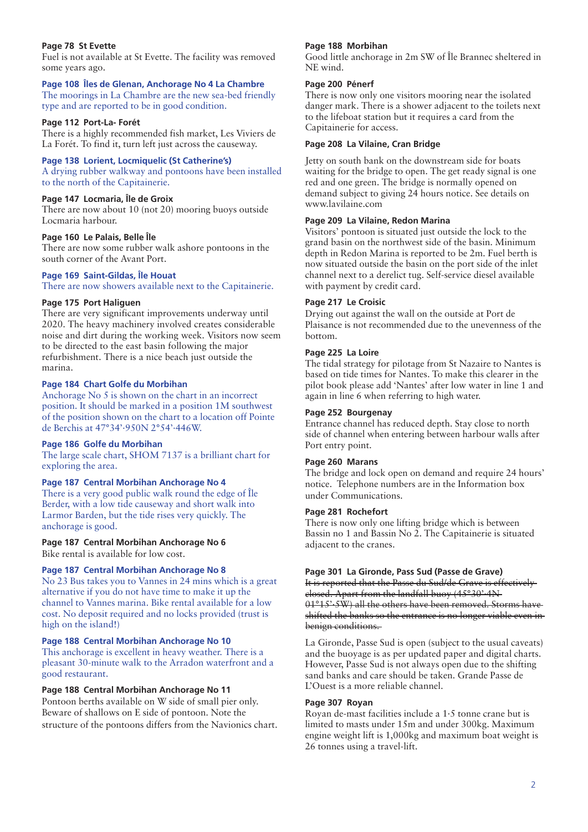## **Page 78 St Evette**

Fuel is not available at St Evette. The facility was removed some years ago.

## **Page 108 Îles de Glenan, Anchorage No 4 La Chambre**

The moorings in La Chambre are the new sea-bed friendly type and are reported to be in good condition.

### **Page 112 Port-La- Forét**

There is a highly recommended fish market, Les Viviers de La Forét. To find it, turn left just across the causeway.

## **Page 138 Lorient, Locmiquelic (St Catherine's)**

A drying rubber walkway and pontoons have been installed to the north of the Capitainerie.

# **Page 147 Locmaria, Île de Groix**

There are now about 10 (not 20) mooring buoys outside Locmaria harbour.

## **Page 160 Le Palais, Belle Île**

There are now some rubber walk ashore pontoons in the south corner of the Avant Port.

# **Page 169 Saint-Gildas, Île Houat**

There are now showers available next to the Capitainerie.

## **Page 175 Port Haliguen**

There are very significant improvements underway until 2020. The heavy machinery involved creates considerable noise and dirt during the working week. Visitors now seem to be directed to the east basin following the major refurbishment. There is a nice beach just outside the marina.

## **Page 184 Chart Golfe du Morbihan**

Anchorage No 5 is shown on the chart in an incorrect position. It should be marked in a position 1M southwest of the position shown on the chart to a location off Pointe de Berchis at 47°34'·950N 2°54'·446W.

#### **Page 186 Golfe du Morbihan**

The large scale chart, SHOM 7137 is a brilliant chart for exploring the area.

#### **Page 187 Central Morbihan Anchorage No 4**

There is a very good public walk round the edge of Île Berder, with a low tide causeway and short walk into Larmor Barden, but the tide rises very quickly. The anchorage is good.

## **Page 187 Central Morbihan Anchorage No 6**

Bike rental is available for low cost.

# **Page 187 Central Morbihan Anchorage No 8**

No 23 Bus takes you to Vannes in 24 mins which is a great alternative if you do not have time to make it up the channel to Vannes marina. Bike rental available for a low cost. No deposit required and no locks provided (trust is high on the island!)

## **Page 188 Central Morbihan Anchorage No 10**

This anchorage is excellent in heavy weather. There is a pleasant 30-minute walk to the Arradon waterfront and a good restaurant.

## **Page 188 Central Morbihan Anchorage No 11**

Pontoon berths available on W side of small pier only. Beware of shallows on E side of pontoon. Note the structure of the pontoons differs from the Navionics chart.

#### **Page 188 Morbihan**

Good little anchorage in 2m SW of Île Brannec sheltered in NE wind.

## **Page 200 Pénerf**

There is now only one visitors mooring near the isolated danger mark. There is a shower adjacent to the toilets next to the lifeboat station but it requires a card from the Capitainerie for access.

## **Page 208 La Vilaine, Cran Bridge**

Jetty on south bank on the downstream side for boats waiting for the bridge to open. The get ready signal is one red and one green. The bridge is normally opened on demand subject to giving 24 hours notice. See details on www.lavilaine.com

## **Page 209 La Vilaine, Redon Marina**

Visitors' pontoon is situated just outside the lock to the grand basin on the northwest side of the basin. Minimum depth in Redon Marina is reported to be 2m. Fuel berth is now situated outside the basin on the port side of the inlet channel next to a derelict tug. Self-service diesel available with payment by credit card.

## **Page 217 Le Croisic**

Drying out against the wall on the outside at Port de Plaisance is not recommended due to the unevenness of the bottom.

## **Page 225 La Loire**

The tidal strategy for pilotage from St Nazaire to Nantes is based on tide times for Nantes. To make this clearer in the pilot book please add 'Nantes' after low water in line 1 and again in line 6 when referring to high water.

#### **Page 252 Bourgenay**

Entrance channel has reduced depth. Stay close to north side of channel when entering between harbour walls after Port entry point.

# **Page 260 Marans**

The bridge and lock open on demand and require 24 hours' notice. Telephone numbers are in the Information box under Communications.

#### **Page 281 Rochefort**

There is now only one lifting bridge which is between Bassin no 1 and Bassin No 2. The Capitainerie is situated adjacent to the cranes.

#### **Page 301 La Gironde, Pass Sud (Passe de Grave)** It is reported that the Passe du Sud/de Grave is effectively closed. Apart from the landfall buoy (45°30'·4N 01°15'·5W) all the others have been removed. Storms have

shifted the banks so the entrance is no longer viable even in benign conditions.

La Gironde, Passe Sud is open (subject to the usual caveats) and the buoyage is as per updated paper and digital charts. However, Passe Sud is not always open due to the shifting sand banks and care should be taken. Grande Passe de L'Ouest is a more reliable channel.

## **Page 307 Royan**

Royan de-mast facilities include a 1·5 tonne crane but is limited to masts under 15m and under 300kg. Maximum engine weight lift is 1,000kg and maximum boat weight is 26 tonnes using a travel-lift.